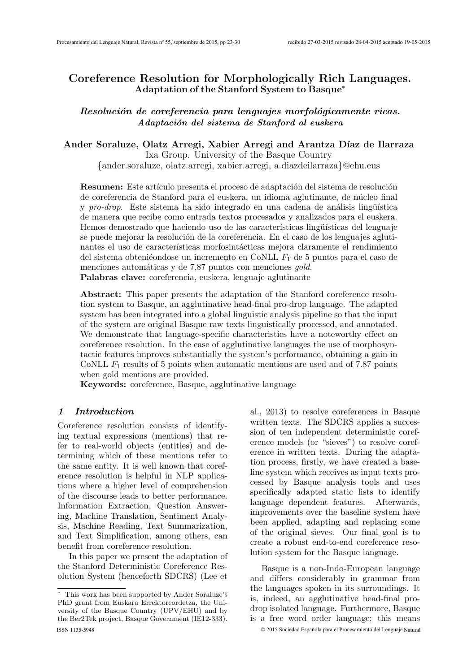# Coreference Resolution for Morphologically Rich Languages. Adaptation of the Stanford System to Basque<sup>∗</sup>

Resolución de coreferencia para lenguajes morfológicamente ricas. Adaptación del sistema de Stanford al euskera

Ander Soraluze, Olatz Arregi, Xabier Arregi and Arantza Díaz de Ilarraza

Ixa Group. University of the Basque Country {ander.soraluze, olatz.arregi, xabier.arregi, a.diazdeilarraza}@ehu.eus

Resumen: Este artículo presenta el proceso de adaptación del sistema de resolución de coreferencia de Stanford para el euskera, un idioma aglutinante, de núcleo final y pro-drop. Este sistema ha sido integrado en una cadena de análisis lingüística de manera que recibe como entrada textos procesados y analizados para el euskera. Hemos demostrado que haciendo uso de las características lingüísticas del lenguaje se puede mejorar la resolución de la coreferencia. En el caso de los lenguajes aglutinantes el uso de características morfosintácticas mejora claramente el rendimiento del sistema obteniéondose un incremento en CoNLL  $F_1$  de 5 puntos para el caso de menciones automáticas y de 7,87 puntos con menciones *gold*. Palabras clave: coreferencia, euskera, lenguaje aglutinante

Abstract: This paper presents the adaptation of the Stanford coreference resolution system to Basque, an agglutinative head-final pro-drop language. The adapted system has been integrated into a global linguistic analysis pipeline so that the input of the system are original Basque raw texts linguistically processed, and annotated. We demonstrate that language-specific characteristics have a noteworthy effect on coreference resolution. In the case of agglutinative languages the use of morphosyntactic features improves substantially the system's performance, obtaining a gain in CoNLL  $F_1$  results of 5 points when automatic mentions are used and of 7.87 points when gold mentions are provided.

Keywords: coreference, Basque, agglutinative language

#### 1 Introduction

Coreference resolution consists of identifying textual expressions (mentions) that refer to real-world objects (entities) and determining which of these mentions refer to the same entity. It is well known that coreference resolution is helpful in NLP applications where a higher level of comprehension of the discourse leads to better performance. Information Extraction, Question Answering, Machine Translation, Sentiment Analysis, Machine Reading, Text Summarization, and Text Simplification, among others, can benefit from coreference resolution.

In this paper we present the adaptation of the Stanford Deterministic Coreference Resolution System (henceforth SDCRS) (Lee et

al., 2013) to resolve coreferences in Basque written texts. The SDCRS applies a succession of ten independent deterministic coreference models (or "sieves") to resolve coreference in written texts. During the adaptation process, firstly, we have created a baseline system which receives as input texts processed by Basque analysis tools and uses specifically adapted static lists to identify language dependent features. Afterwards, improvements over the baseline system have been applied, adapting and replacing some of the original sieves. Our final goal is to create a robust end-to-end coreference resolution system for the Basque language.

Basque is a non-Indo-European language and differs considerably in grammar from the languages spoken in its surroundings. It is, indeed, an agglutinative head-final prodrop isolated language. Furthermore, Basque is a free word order language; this means

<sup>∗</sup> This work has been supported by Ander Soraluze's PhD grant from Euskara Errektoreordetza, the University of the Basque Country (UPV/EHU) and by the Ber2Tek project, Basque Government (IE12-333). ISSN 1135-5948 © 2015 Sociedad Española para el Procesamiento del Lenguaje Natural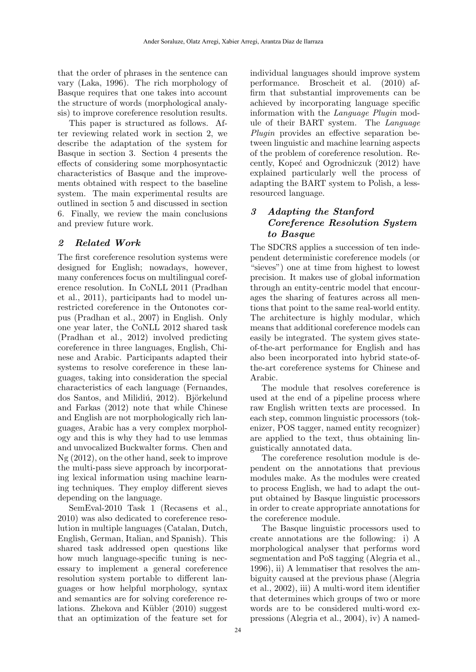that the order of phrases in the sentence can vary (Laka, 1996). The rich morphology of Basque requires that one takes into account the structure of words (morphological analysis) to improve coreference resolution results.

This paper is structured as follows. After reviewing related work in section 2, we describe the adaptation of the system for Basque in section 3. Section 4 presents the effects of considering some morphosyntactic characteristics of Basque and the improvements obtained with respect to the baseline system. The main experimental results are outlined in section 5 and discussed in section 6. Finally, we review the main conclusions and preview future work.

# 2 Related Work

The first coreference resolution systems were designed for English; nowadays, however, many conferences focus on multilingual coreference resolution. In CoNLL 2011 (Pradhan et al., 2011), participants had to model unrestricted coreference in the Ontonotes corpus (Pradhan et al., 2007) in English. Only one year later, the CoNLL 2012 shared task (Pradhan et al., 2012) involved predicting coreference in three languages, English, Chinese and Arabic. Participants adapted their systems to resolve coreference in these languages, taking into consideration the special characteristics of each language (Fernandes, dos Santos, and Milidiú, 2012). Björkelund and Farkas (2012) note that while Chinese and English are not morphologically rich languages, Arabic has a very complex morphology and this is why they had to use lemmas and unvocalized Buckwalter forms. Chen and Ng (2012), on the other hand, seek to improve the multi-pass sieve approach by incorporating lexical information using machine learning techniques. They employ different sieves depending on the language.

SemEval-2010 Task 1 (Recasens et al., 2010) was also dedicated to coreference resolution in multiple languages (Catalan, Dutch, English, German, Italian, and Spanish). This shared task addressed open questions like how much language-specific tuning is necessary to implement a general coreference resolution system portable to different languages or how helpful morphology, syntax and semantics are for solving coreference relations. Zhekova and Kübler (2010) suggest that an optimization of the feature set for individual languages should improve system performance. Broscheit et al. (2010) affirm that substantial improvements can be achieved by incorporating language specific information with the Language Plugin module of their BART system. The Language Plugin provides an effective separation between linguistic and machine learning aspects of the problem of coreference resolution. Recently, Kopeć and Ogrodniczuk (2012) have explained particularly well the process of adapting the BART system to Polish, a lessresourced language.

# 3 Adapting the Stanford Coreference Resolution System to Basque

The SDCRS applies a succession of ten independent deterministic coreference models (or "sieves") one at time from highest to lowest precision. It makes use of global information through an entity-centric model that encourages the sharing of features across all mentions that point to the same real-world entity. The architecture is highly modular, which means that additional coreference models can easily be integrated. The system gives stateof-the-art performance for English and has also been incorporated into hybrid state-ofthe-art coreference systems for Chinese and Arabic.

The module that resolves coreference is used at the end of a pipeline process where raw English written texts are processed. In each step, common linguistic processors (tokenizer, POS tagger, named entity recognizer) are applied to the text, thus obtaining linguistically annotated data.

The coreference resolution module is dependent on the annotations that previous modules make. As the modules were created to process English, we had to adapt the output obtained by Basque linguistic processors in order to create appropriate annotations for the coreference module.

The Basque linguistic processors used to create annotations are the following: i) A morphological analyser that performs word segmentation and PoS tagging (Alegria et al., 1996), ii) A lemmatiser that resolves the ambiguity caused at the previous phase (Alegria et al., 2002), iii) A multi-word item identifier that determines which groups of two or more words are to be considered multi-word expressions (Alegria et al., 2004), iv) A named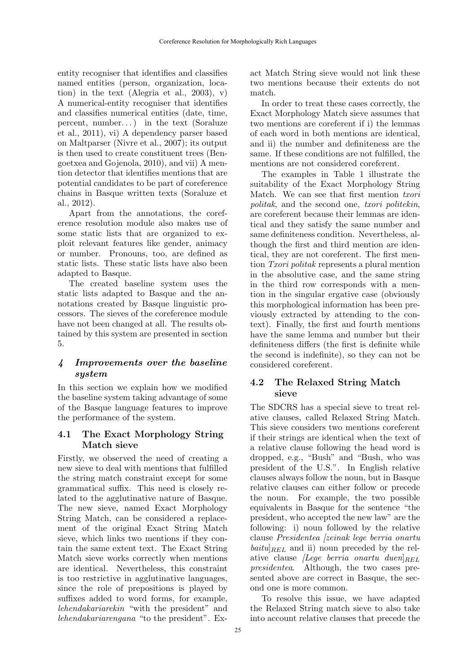entity recogniser that identifies and classifies named entities (person, organization, location) in the text (Alegria et al., 2003),  $v$ ) A numerical-entity recogniser that identifies and classifies numerical entities (date, time, percent, number...) in the text (Soraluze et al., 2011), vi) A dependency parser based on Maltparser (Nivre et al., 2007); its output is then used to create constituent trees (Bengoetxea and Gojenola, 2010), and vii) A mention detector that identifies mentions that are potential candidates to be part of coreference chains in Basque written texts (Soraluze et al., 2012).

Apart from the annotations, the coreference resolution module also makes use of some static lists that are organized to exploit relevant features like gender, animacy or number. Pronouns, too, are defined as static lists. These static lists have also been adapted to Basque.

The created baseline system uses the static lists adapted to Basque and the annotations created by Basque linguistic processors. The sieves of the coreference module have not been changed at all. The results obtained by this system are presented in section 5.

## 4 Improvements over the baseline system

In this section we explain how we modified the baseline system taking advantage of some of the Basque language features to improve the performance of the system.

### 4.1 The Exact Morphology String Match sieve

Firstly, we observed the need of creating a new sieve to deal with mentions that fulfilled the string match constraint except for some grammatical suffix. This need is closely related to the agglutinative nature of Basque. The new sieve, named Exact Morphology String Match, can be considered a replacement of the original Exact String Match sieve, which links two mentions if they contain the same extent text. The Exact String Match sieve works correctly when mentions are identical. Nevertheless, this constraint is too restrictive in agglutinative languages, since the role of prepositions is played by suffixes added to word forms, for example, lehendakariarekin "with the president" and lehendakariarengana "to the president". Exact Match String sieve would not link these two mentions because their extents do not match.

In order to treat these cases correctly, the Exact Morphology Match sieve assumes that two mentions are coreferent if i) the lemmas of each word in both mentions are identical, and ii) the number and definiteness are the same. If these conditions are not fulfilled, the mentions are not considered coreferent.

The examples in Table 1 illustrate the suitability of the Exact Morphology String Match. We can see that first mention *txori* politak, and the second one, txori politekin, are coreferent because their lemmas are identical and they satisfy the same number and same definiteness condition. Nevertheless, although the first and third mention are identical, they are not coreferent. The first mention Txori politak represents a plural mention in the absolutive case, and the same string in the third row corresponds with a mention in the singular ergative case (obviously this morphological information has been previously extracted by attending to the context). Finally, the first and fourth mentions have the same lemma and number but their definiteness differs (the first is definite while the second is indefinite), so they can not be considered coreferent.

# 4.2 The Relaxed String Match sieve

The SDCRS has a special sieve to treat relative clauses, called Relaxed String Match. This sieve considers two mentions coreferent if their strings are identical when the text of a relative clause following the head word is dropped, e.g., "Bush" and "Bush, who was president of the U.S.". In English relative clauses always follow the noun, but in Basque relative clauses can either follow or precede the noun. For example, the two possible equivalents in Basque for the sentence "the president, who accepted the new law" are the following: i) noun followed by the relative clause Presidentea [zeinak lege berria onartu  $baitu|_{REL}$  and ii) noun preceded by the relative clause *[Lege berria onartu duen*] $_{REL}$ presidentea. Although, the two cases presented above are correct in Basque, the second one is more common.

To resolve this issue, we have adapted the Relaxed String match sieve to also take into account relative clauses that precede the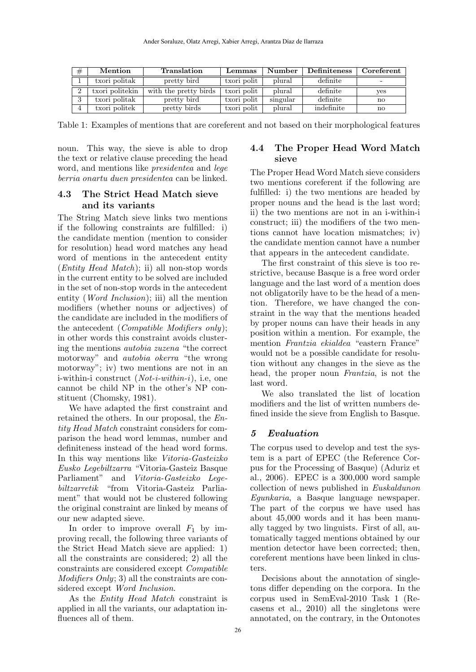| #        | Mention         | Translation           | Lemmas      | Number   | Definiteness | Coreferent |
|----------|-----------------|-----------------------|-------------|----------|--------------|------------|
|          | txori politak   | pretty bird           | txori polit | plural   | definite     | -          |
| $\Omega$ | txori politekin | with the pretty birds | txori polit | plural   | definite     | yes        |
| $\Omega$ | txori politak   | pretty bird           | txori polit | singular | definite     | no         |
| 4        | txori politek   | pretty birds          | txori polit | plural   | indefinite   | no         |

Table 1: Examples of mentions that are coreferent and not based on their morphological features

noun. This way, the sieve is able to drop the text or relative clause preceding the head word, and mentions like presidentea and lege berria onartu duen presidentea can be linked.

### 4.3 The Strict Head Match sieve and its variants

The String Match sieve links two mentions if the following constraints are fulfilled: i) the candidate mention (mention to consider for resolution) head word matches any head word of mentions in the antecedent entity (Entity Head Match); ii) all non-stop words in the current entity to be solved are included in the set of non-stop words in the antecedent entity (Word Inclusion); iii) all the mention modifiers (whether nouns or adjectives) of the candidate are included in the modifiers of the antecedent (Compatible Modifiers only); in other words this constraint avoids clustering the mentions autobia zuzena "the correct motorway" and autobia okerra "the wrong motorway"; iv) two mentions are not in an i-within-i construct  $(Not-i-within-i)$ , i.e., one cannot be child NP in the other's NP constituent (Chomsky, 1981).

We have adapted the first constraint and retained the others. In our proposal, the Entity Head Match constraint considers for comparison the head word lemmas, number and definiteness instead of the head word forms. In this way mentions like Vitoria-Gasteizko Eusko Legebiltzarra "Vitoria-Gasteiz Basque Parliament" and Vitoria-Gasteizko Legebiltzarretik "from Vitoria-Gasteiz Parliament" that would not be clustered following the original constraint are linked by means of our new adapted sieve.

In order to improve overall  $F_1$  by improving recall, the following three variants of the Strict Head Match sieve are applied: 1) all the constraints are considered; 2) all the constraints are considered except Compatible Modifiers Only; 3) all the constraints are considered except Word Inclusion.

As the Entity Head Match constraint is applied in all the variants, our adaptation influences all of them.

### 4.4 The Proper Head Word Match sieve

The Proper Head Word Match sieve considers two mentions coreferent if the following are fulfilled: i) the two mentions are headed by proper nouns and the head is the last word; ii) the two mentions are not in an i-within-i construct; iii) the modifiers of the two mentions cannot have location mismatches; iv) the candidate mention cannot have a number that appears in the antecedent candidate.

The first constraint of this sieve is too restrictive, because Basque is a free word order language and the last word of a mention does not obligatorily have to be the head of a mention. Therefore, we have changed the constraint in the way that the mentions headed by proper nouns can have their heads in any position within a mention. For example, the mention Frantzia ekialdea "eastern France" would not be a possible candidate for resolution without any changes in the sieve as the head, the proper noun Frantzia, is not the last word.

We also translated the list of location modifiers and the list of written numbers defined inside the sieve from English to Basque.

### 5 Evaluation

The corpus used to develop and test the system is a part of EPEC (the Reference Corpus for the Processing of Basque) (Aduriz et al., 2006). EPEC is a 300,000 word sample collection of news published in Euskaldunon Egunkaria, a Basque language newspaper. The part of the corpus we have used has about 45,000 words and it has been manually tagged by two linguists. First of all, automatically tagged mentions obtained by our mention detector have been corrected; then, coreferent mentions have been linked in clusters.

Decisions about the annotation of singletons differ depending on the corpora. In the corpus used in SemEval-2010 Task 1 (Recasens et al., 2010) all the singletons were annotated, on the contrary, in the Ontonotes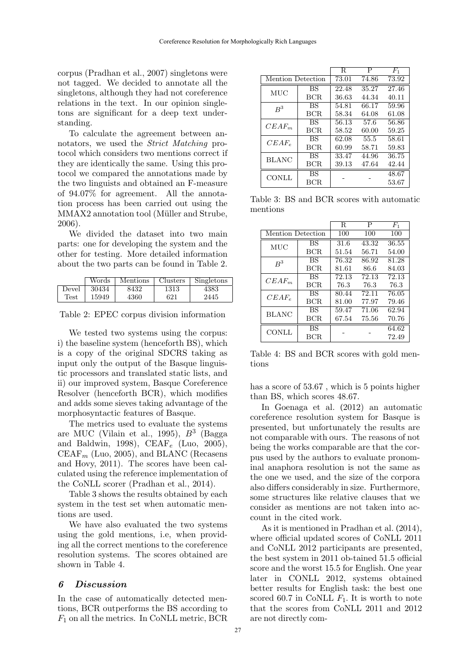corpus (Pradhan et al., 2007) singletons were not tagged. We decided to annotate all the singletons, although they had not coreference relations in the text. In our opinion singletons are significant for a deep text understanding.

To calculate the agreement between annotators, we used the Strict Matching protocol which considers two mentions correct if they are identically the same. Using this protocol we compared the annotations made by the two linguists and obtained an F-measure of 94.07% for agreement. All the annotation process has been carried out using the MMAX2 annotation tool (Müller and Strube, 2006).

We divided the dataset into two main parts: one for developing the system and the other for testing. More detailed information about the two parts can be found in Table 2.

|       | Words | <b>Mentions</b> | <b>Clusters</b> | Singletons |
|-------|-------|-----------------|-----------------|------------|
| Devel | 30434 | 8432            | 1313            | 4383       |
| Test  | 15949 | 4360            | 621             | 2445       |

Table 2: EPEC corpus division information

We tested two systems using the corpus: i) the baseline system (henceforth BS), which is a copy of the original SDCRS taking as input only the output of the Basque linguistic processors and translated static lists, and ii) our improved system, Basque Coreference Resolver (henceforth BCR), which modifies and adds some sieves taking advantage of the morphosyntactic features of Basque.

The metrics used to evaluate the systems are MUC (Vilain et al., 1995),  $B^3$  (Bagga and Baldwin, 1998), CEAF<sub>e</sub> (Luo, 2005),  $CEAF_m$  (Luo, 2005), and BLANC (Recasens and Hovy, 2011). The scores have been calculated using the reference implementation of the CoNLL scorer (Pradhan et al., 2014).

Table 3 shows the results obtained by each system in the test set when automatic mentions are used.

We have also evaluated the two systems using the gold mentions, i.e, when providing all the correct mentions to the coreference resolution systems. The scores obtained are shown in Table 4.

#### 6 Discussion

In the case of automatically detected mentions, BCR outperforms the BS according to  $F_1$  on all the metrics. In CoNLL metric, BCR

|                   |           | R     | P     | $F_{1}$ |
|-------------------|-----------|-------|-------|---------|
| Mention Detection |           | 73.01 | 74.86 | 73.92   |
| MUC               | BS        | 22.48 | 35.27 | 27.46   |
|                   | BCR.      | 36.63 | 44.34 | 40.11   |
| $R^3$             | BS        | 54.81 | 66.17 | 59.96   |
|                   | BCR.      | 58.34 | 64.08 | 61.08   |
| $CEAF_m$          | <b>BS</b> | 56.13 | 57.6  | 56.86   |
|                   | BCR.      | 58.52 | 60.00 | 59.25   |
| $CEAF_e$          | BS        | 62.08 | 55.5  | 58.61   |
|                   | BCR.      | 60.99 | 58.71 | 59.83   |
| <b>BLANC</b>      | BS        | 33.47 | 44.96 | 36.75   |
|                   | BCR       | 39.13 | 47.64 | 42.44   |
| <b>CONLL</b>      | BS        |       |       | 48.67   |
|                   | BCR.      |       |       | 53.67   |

Table 3: BS and BCR scores with automatic mentions

|                   |            | R     | Ρ     | $F_1$ |
|-------------------|------------|-------|-------|-------|
| Mention Detection |            | 100   | 100   | 100   |
| MUC               | BS         | 31.6  | 43.32 | 36.55 |
|                   | <b>BCR</b> | 51.54 | 56.71 | 54.00 |
| $R^3$             | <b>BS</b>  | 76.32 | 86.92 | 81.28 |
|                   | BCR.       | 81.61 | 86.6  | 84.03 |
| $CEAF_m$          | BS         | 72.13 | 72.13 | 72.13 |
|                   | BCR.       | 76.3  | 76.3  | 76.3  |
| $CEAF_e$          | BS         | 80.44 | 72.11 | 76.05 |
|                   | BCR.       | 81.00 | 77.97 | 79.46 |
| BLANC             | BS         | 59.47 | 71.06 | 62.94 |
|                   | BCR.       | 67.54 | 75.56 | 70.76 |
| <b>CONLL</b>      | BS         |       |       | 64.62 |
|                   | BCR.       |       |       | 72.49 |

Table 4: BS and BCR scores with gold mentions

has a score of 53.67 , which is 5 points higher than BS, which scores 48.67.

In Goenaga et al. (2012) an automatic coreference resolution system for Basque is presented, but unfortunately the results are not comparable with ours. The reasons of not being the works comparable are that the corpus used by the authors to evaluate pronominal anaphora resolution is not the same as the one we used, and the size of the corpora also differs considerably in size. Furthermore, some structures like relative clauses that we consider as mentions are not taken into account in the cited work.

As it is mentioned in Pradhan et al. (2014), where official updated scores of CoNLL 2011 and CoNLL 2012 participants are presented, the best system in 2011 ob-tained 51.5 official score and the worst 15.5 for English. One year later in CONLL 2012, systems obtained better results for English task: the best one scored 60.7 in CoNLL  $F_1$ . It is worth to note that the scores from CoNLL 2011 and 2012 are not directly com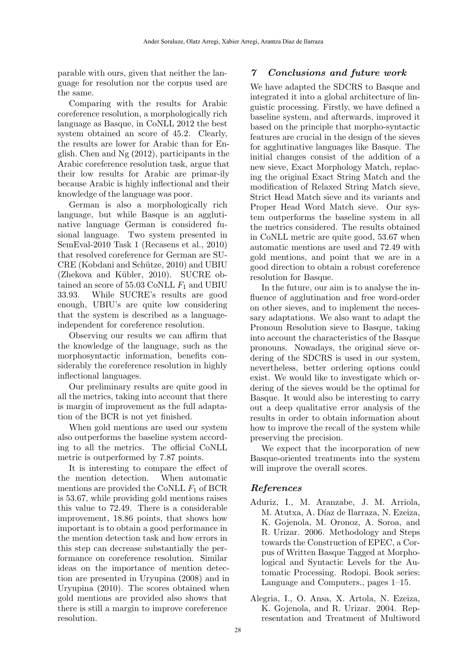parable with ours, given that neither the language for resolution nor the corpus used are the same.

Comparing with the results for Arabic coreference resolution, a morphologically rich language as Basque, in CoNLL 2012 the best system obtained an score of 45.2. Clearly, the results are lower for Arabic than for English. Chen and Ng (2012), participants in the Arabic coreference resolution task, argue that their low results for Arabic are primar-ily because Arabic is highly inflectional and their knowledge of the language was poor.

German is also a morphologically rich language, but while Basque is an agglutinative language German is considered fusional language. Two system presented in SemEval-2010 Task 1 (Recasens et al., 2010) that resolved coreference for German are SU- $CRE (Kobdani and Schütze, 2010)$  and UBIU  $(Zhekova and Kübler, 2010)$ . SUCRE obtained an score of 55.03 CoNLL  $F_1$  and UBIU 33.93. While SUCRE's results are good enough, UBIU's are quite low considering that the system is described as a languageindependent for coreference resolution.

Observing our results we can affirm that the knowledge of the language, such as the morphosyntactic information, benefits considerably the coreference resolution in highly inflectional languages.

Our preliminary results are quite good in all the metrics, taking into account that there is margin of improvement as the full adaptation of the BCR is not yet finished.

When gold mentions are used our system also outperforms the baseline system according to all the metrics. The official CoNLL metric is outperformed by 7.87 points.

It is interesting to compare the effect of the mention detection. When automatic mentions are provided the CoNLL  $F_1$  of BCR is 53.67, while providing gold mentions raises this value to 72.49. There is a considerable improvement, 18.86 points, that shows how important is to obtain a good performance in the mention detection task and how errors in this step can decrease substantially the performance on coreference resolution. Similar ideas on the importance of mention detection are presented in Uryupina (2008) and in Uryupina (2010). The scores obtained when gold mentions are provided also shows that there is still a margin to improve coreference resolution.

#### 7 Conclusions and future work

We have adapted the SDCRS to Basque and integrated it into a global architecture of linguistic processing. Firstly, we have defined a baseline system, and afterwards, improved it based on the principle that morpho-syntactic features are crucial in the design of the sieves for agglutinative languages like Basque. The initial changes consist of the addition of a new sieve, Exact Morphology Match, replacing the original Exact String Match and the modification of Relaxed String Match sieve, Strict Head Match sieve and its variants and Proper Head Word Match sieve. Our system outperforms the baseline system in all the metrics considered. The results obtained in CoNLL metric are quite good, 53.67 when automatic mentions are used and 72.49 with gold mentions, and point that we are in a good direction to obtain a robust coreference resolution for Basque.

In the future, our aim is to analyse the influence of agglutination and free word-order on other sieves, and to implement the necessary adaptations. We also want to adapt the Pronoun Resolution sieve to Basque, taking into account the characteristics of the Basque pronouns. Nowadays, the original sieve ordering of the SDCRS is used in our system, nevertheless, better ordering options could exist. We would like to investigate which ordering of the sieves would be the optimal for Basque. It would also be interesting to carry out a deep qualitative error analysis of the results in order to obtain information about how to improve the recall of the system while preserving the precision.

We expect that the incorporation of new Basque-oriented treatments into the system will improve the overall scores.

### References

- Aduriz, I., M. Aranzabe, J. M. Arriola, M. Atutxa, A. Díaz de Ilarraza, N. Ezeiza, K. Gojenola, M. Oronoz, A. Soroa, and R. Urizar. 2006. Methodology and Steps towards the Construction of EPEC, a Corpus of Written Basque Tagged at Morphological and Syntactic Levels for the Automatic Processing. Rodopi. Book series: Language and Computers., pages 1–15.
- Alegria, I., O. Ansa, X. Artola, N. Ezeiza, K. Gojenola, and R. Urizar. 2004. Representation and Treatment of Multiword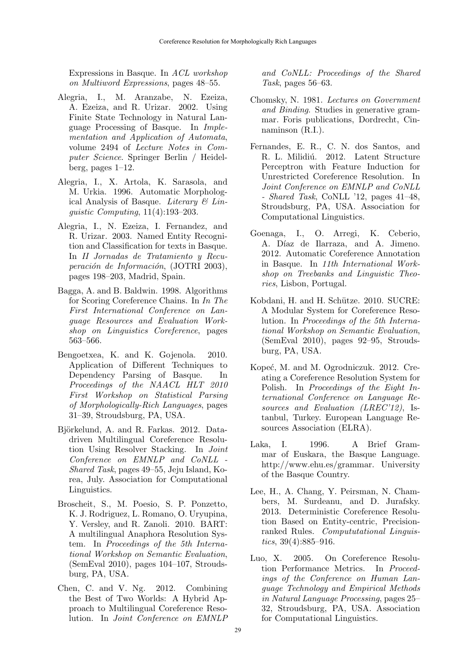Expressions in Basque. In ACL workshop on Multiword Expressions, pages 48–55.

- Alegria, I., M. Aranzabe, N. Ezeiza, A. Ezeiza, and R. Urizar. 2002. Using Finite State Technology in Natural Language Processing of Basque. In Implementation and Application of Automata, volume 2494 of Lecture Notes in Computer Science. Springer Berlin / Heidelberg, pages 1–12.
- Alegria, I., X. Artola, K. Sarasola, and M. Urkia. 1996. Automatic Morphological Analysis of Basque. Literary  $\mathcal C$  Linguistic Computing, 11(4):193–203.
- Alegria, I., N. Ezeiza, I. Fernandez, and R. Urizar. 2003. Named Entity Recognition and Classification for texts in Basque. In II Jornadas de Tratamiento y Recuperación de Información,  $\overline{JOTRI}$  2003), pages 198–203, Madrid, Spain.
- Bagga, A. and B. Baldwin. 1998. Algorithms for Scoring Coreference Chains. In In The First International Conference on Language Resources and Evaluation Workshop on Linguistics Coreference, pages 563–566.
- Bengoetxea, K. and K. Gojenola. 2010. Application of Different Techniques to Dependency Parsing of Basque. In Proceedings of the NAACL HLT 2010 First Workshop on Statistical Parsing of Morphologically-Rich Languages, pages 31–39, Stroudsburg, PA, USA.
- Björkelund, A. and R. Farkas. 2012. Datadriven Multilingual Coreference Resolution Using Resolver Stacking. In Joint Conference on EMNLP and CoNLL - Shared Task, pages 49–55, Jeju Island, Korea, July. Association for Computational Linguistics.
- Broscheit, S., M. Poesio, S. P. Ponzetto, K. J. Rodriguez, L. Romano, O. Uryupina, Y. Versley, and R. Zanoli. 2010. BART: A multilingual Anaphora Resolution System. In Proceedings of the 5th International Workshop on Semantic Evaluation, (SemEval 2010), pages 104–107, Stroudsburg, PA, USA.
- Chen, C. and V. Ng. 2012. Combining the Best of Two Worlds: A Hybrid Approach to Multilingual Coreference Resolution. In Joint Conference on EMNLP

and CoNLL: Proceedings of the Shared Task, pages 56–63.

- Chomsky, N. 1981. Lectures on Government and Binding. Studies in generative grammar. Foris publications, Dordrecht, Cinnaminson (R.I.).
- Fernandes, E. R., C. N. dos Santos, and R. L. Milidiú. 2012. Latent Structure Perceptron with Feature Induction for Unrestricted Coreference Resolution. In Joint Conference on EMNLP and CoNLL - Shared Task, CoNLL '12, pages  $41-48$ , Stroudsburg, PA, USA. Association for Computational Linguistics.
- Goenaga, I., O. Arregi, K. Ceberio, A. Díaz de Ilarraza, and A. Jimeno. 2012. Automatic Coreference Annotation in Basque. In 11th International Workshop on Treebanks and Linguistic Theories, Lisbon, Portugal.
- Kobdani, H. and H. Schütze. 2010. SUCRE: A Modular System for Coreference Resolution. In Proceedings of the 5th International Workshop on Semantic Evaluation, (SemEval 2010), pages 92–95, Stroudsburg, PA, USA.
- Kopeć, M. and M. Ogrodniczuk. 2012. Creating a Coreference Resolution System for Polish. In Proceedings of the Eight International Conference on Language Resources and Evaluation (LREC'12), Istanbul, Turkey. European Language Resources Association (ELRA).
- Laka, I. 1996. A Brief Grammar of Euskara, the Basque Language. http://www.ehu.es/grammar. University of the Basque Country.
- Lee, H., A. Chang, Y. Peirsman, N. Chambers, M. Surdeanu, and D. Jurafsky. 2013. Deterministic Coreference Resolution Based on Entity-centric, Precisionranked Rules. Compututational Linguistics,  $39(4):885 - 916$ .
- Luo, X. 2005. On Coreference Resolution Performance Metrics. In Proceedings of the Conference on Human Language Technology and Empirical Methods in Natural Language Processing, pages 25– 32, Stroudsburg, PA, USA. Association for Computational Linguistics.